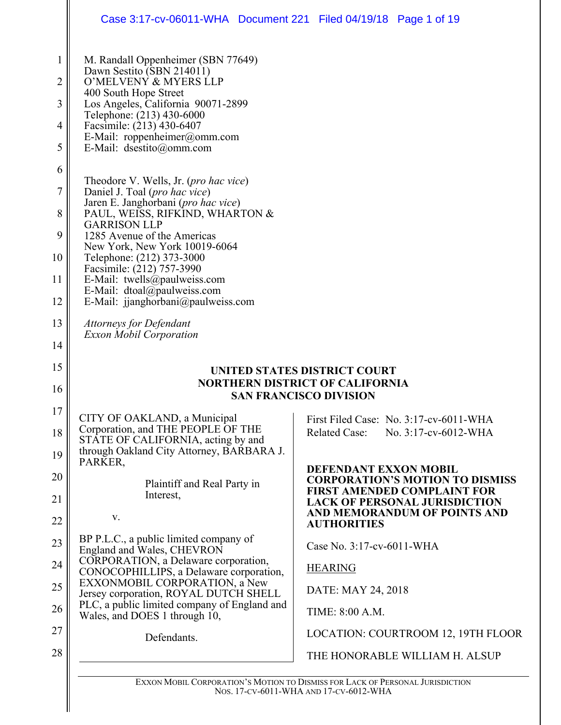|              | Case 3:17-cv-06011-WHA Document 221 Filed 04/19/18 Page 1 of 19                                         |                                                                                                                      |  |
|--------------|---------------------------------------------------------------------------------------------------------|----------------------------------------------------------------------------------------------------------------------|--|
| $\mathbf{1}$ | M. Randall Oppenheimer (SBN 77649)<br>Dawn Sestito (SBN 214011)                                         |                                                                                                                      |  |
| 2            | O'MELVENY & MYERS LLP<br>400 South Hope Street                                                          |                                                                                                                      |  |
| 3            | Los Angeles, California 90071-2899<br>Telephone: (213) 430-6000                                         |                                                                                                                      |  |
| 4<br>5       | Facsimile: (213) 430-6407<br>E-Mail: roppenheimer@omm.com<br>E-Mail: dsestito@omm.com                   |                                                                                                                      |  |
| 6            |                                                                                                         |                                                                                                                      |  |
| 7            | Theodore V. Wells, Jr. ( <i>pro hac vice</i> )<br>Daniel J. Toal (pro hac vice)                         |                                                                                                                      |  |
| 8            | Jaren E. Janghorbani (pro hac vice)<br>PAUL, WEISS, RIFKIND, WHARTON &<br><b>GARRISON LLP</b>           |                                                                                                                      |  |
| 9<br>10      | 1285 Avenue of the Americas<br>New York, New York 10019-6064                                            |                                                                                                                      |  |
|              | Telephone: (212) 373-3000<br>Facsimile: (212) 757-3990                                                  |                                                                                                                      |  |
| 11<br>12     | E-Mail: twells@paulweiss.com<br>E-Mail: dtoal@paulweiss.com<br>E-Mail: jjanghorbani@paulweiss.com       |                                                                                                                      |  |
| 13           | <b>Attorneys for Defendant</b><br><b>Exxon Mobil Corporation</b>                                        |                                                                                                                      |  |
| 14           |                                                                                                         |                                                                                                                      |  |
| 15<br>16     | UNITED STATES DISTRICT COURT<br><b>NORTHERN DISTRICT OF CALIFORNIA</b><br><b>SAN FRANCISCO DIVISION</b> |                                                                                                                      |  |
| 17           | CITY OF OAKLAND, a Municipal                                                                            | First Filed Case: No. 3:17-cv-6011-WHA                                                                               |  |
| 18           | Corporation, and THE PEOPLE OF THE<br>STATE OF CALIFORNIA, acting by and                                | <b>Related Case:</b><br>No. 3:17-cv-6012-WHA                                                                         |  |
| 19           | through Oakland City Attorney, BARBARA J.<br>PARKER,                                                    | DEFENDANT EXXON MOBIL                                                                                                |  |
| 20<br>21     | Plaintiff and Real Party in<br>Interest,                                                                | <b>CORPORATION'S MOTION TO DISMISS</b><br><b>FIRST AMENDED COMPLAINT FOR</b><br><b>LACK OF PERSONAL JURISDICTION</b> |  |
| 22           | V.                                                                                                      | AND MEMORANDUM OF POINTS AND<br><b>AUTHORITIES</b>                                                                   |  |
| 23           | BP P.L.C., a public limited company of<br>England and Wales, CHEVRON                                    | Case No. 3:17-cv-6011-WHA                                                                                            |  |
| 24           | CORPORATION, a Delaware corporation,<br>CONOCOPHILLIPS, a Delaware corporation,                         | <b>HEARING</b>                                                                                                       |  |
| 25           | EXXONMOBIL CORPORATION, a New<br>Jersey corporation, ROYAL DUTCH SHELL                                  | DATE: MAY 24, 2018                                                                                                   |  |
| 26           | PLC, a public limited company of England and<br>Wales, and DOES 1 through 10,                           | TIME: 8:00 A.M.                                                                                                      |  |
| 27           | Defendants.                                                                                             | LOCATION: COURTROOM 12, 19TH FLOOR                                                                                   |  |
| 28           |                                                                                                         | THE HONORABLE WILLIAM H. ALSUP                                                                                       |  |
|              |                                                                                                         | EXXON MOBIL CORPORATION'S MOTION TO DISMISS FOR LACK OF PERSONAL JURISDICTION                                        |  |

NOS. 17-CV-6011-WHA AND 17-CV-6012-WHA

J.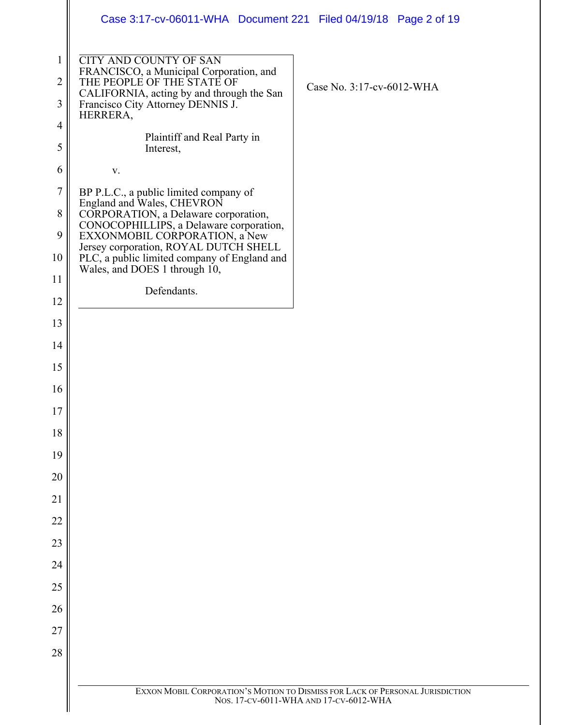|                                | Case 3:17-cv-06011-WHA  Document 221  Filed 04/19/18  Page 2 of 19                                                     |                                                                               |
|--------------------------------|------------------------------------------------------------------------------------------------------------------------|-------------------------------------------------------------------------------|
| $\mathbf{1}$<br>$\overline{2}$ | <b>CITY AND COUNTY OF SAN</b><br>FRANCISCO, a Municipal Corporation, and<br>THE PEOPLE OF THE STATE OF                 |                                                                               |
| 3                              | CALIFORNIA, acting by and through the San                                                                              | Case No. 3:17-cv-6012-WHA                                                     |
|                                | Francisco City Attorney DENNIS J.<br>HERRERA,                                                                          |                                                                               |
| $\overline{4}$<br>5            | Plaintiff and Real Party in<br>Interest,                                                                               |                                                                               |
| 6                              | $\mathbf{V}$ .                                                                                                         |                                                                               |
| $\tau$                         | BP P.L.C., a public limited company of<br>England and Wales, CHEVRON                                                   |                                                                               |
| 8<br>9                         | CORPORATION, a Delaware corporation,<br>CONOCOPHILLIPS, a Delaware corporation,                                        |                                                                               |
| 10                             | EXXONMOBIL CORPORATION, a New<br>Jersey corporation, ROYAL DUTCH SHELL<br>PLC, a public limited company of England and |                                                                               |
| 11                             | Wales, and DOES 1 through 10,                                                                                          |                                                                               |
| 12                             | Defendants.                                                                                                            |                                                                               |
| 13                             |                                                                                                                        |                                                                               |
| 14                             |                                                                                                                        |                                                                               |
| 15                             |                                                                                                                        |                                                                               |
| 16                             |                                                                                                                        |                                                                               |
| 17                             |                                                                                                                        |                                                                               |
| 18                             |                                                                                                                        |                                                                               |
| 19                             |                                                                                                                        |                                                                               |
| 20                             |                                                                                                                        |                                                                               |
| 21                             |                                                                                                                        |                                                                               |
| 22                             |                                                                                                                        |                                                                               |
| 23                             |                                                                                                                        |                                                                               |
| 24                             |                                                                                                                        |                                                                               |
| 25                             |                                                                                                                        |                                                                               |
| 26                             |                                                                                                                        |                                                                               |
| 27                             |                                                                                                                        |                                                                               |
| 28                             |                                                                                                                        |                                                                               |
|                                |                                                                                                                        | EXXON MOBIL CORPORATION'S MOTION TO DISMISS FOR LACK OF PERSONAL JURISDICTION |
|                                |                                                                                                                        | Nos. 17-CV-6011-WHA AND 17-CV-6012-WHA                                        |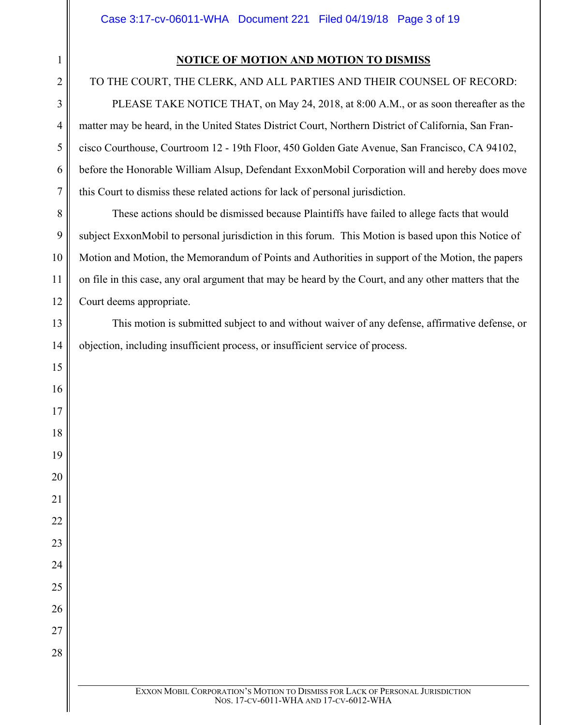## **NOTICE OF MOTION AND MOTION TO DISMISS**

### TO THE COURT, THE CLERK, AND ALL PARTIES AND THEIR COUNSEL OF RECORD:

PLEASE TAKE NOTICE THAT, on May 24, 2018, at 8:00 A.M., or as soon thereafter as the matter may be heard, in the United States District Court, Northern District of California, San Francisco Courthouse, Courtroom 12 - 19th Floor, 450 Golden Gate Avenue, San Francisco, CA 94102, before the Honorable William Alsup, Defendant ExxonMobil Corporation will and hereby does move this Court to dismiss these related actions for lack of personal jurisdiction.

These actions should be dismissed because Plaintiffs have failed to allege facts that would subject ExxonMobil to personal jurisdiction in this forum. This Motion is based upon this Notice of Motion and Motion, the Memorandum of Points and Authorities in support of the Motion, the papers on file in this case, any oral argument that may be heard by the Court, and any other matters that the Court deems appropriate.

This motion is submitted subject to and without waiver of any defense, affirmative defense, or objection, including insufficient process, or insufficient service of process.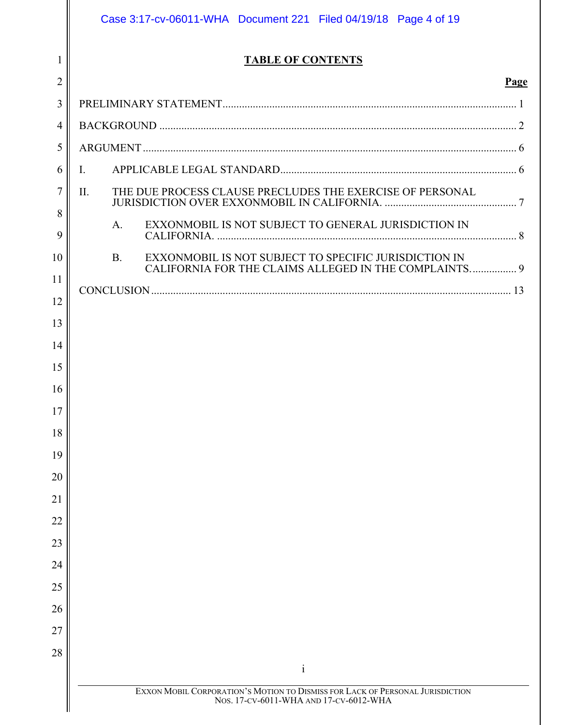|                | Case 3:17-cv-06011-WHA  Document 221  Filed 04/19/18  Page 4 of 19                                                      |      |
|----------------|-------------------------------------------------------------------------------------------------------------------------|------|
| 1              | <b>TABLE OF CONTENTS</b>                                                                                                |      |
| $\overline{2}$ |                                                                                                                         | Page |
| 3              |                                                                                                                         |      |
| $\overline{4}$ |                                                                                                                         |      |
| 5              |                                                                                                                         |      |
| 6              | I.                                                                                                                      |      |
| $\tau$         | THE DUE PROCESS CLAUSE PRECLUDES THE EXERCISE OF PERSONAL<br>II.                                                        |      |
| 8<br>9         | EXXONMOBIL IS NOT SUBJECT TO GENERAL JURISDICTION IN<br>A.                                                              |      |
| 10             | EXXONMOBIL IS NOT SUBJECT TO SPECIFIC JURISDICTION IN<br><b>B.</b>                                                      |      |
| 11             | CALIFORNIA FOR THE CLAIMS ALLEGED IN THE COMPLAINTS 9                                                                   |      |
| 12             |                                                                                                                         |      |
| 13             |                                                                                                                         |      |
| 14             |                                                                                                                         |      |
| 15             |                                                                                                                         |      |
| 16             |                                                                                                                         |      |
| 17             |                                                                                                                         |      |
| 18             |                                                                                                                         |      |
| 19             |                                                                                                                         |      |
| 20             |                                                                                                                         |      |
| 21             |                                                                                                                         |      |
| 22             |                                                                                                                         |      |
| 23             |                                                                                                                         |      |
| 24             |                                                                                                                         |      |
| 25             |                                                                                                                         |      |
| 26<br>27       |                                                                                                                         |      |
| 28             |                                                                                                                         |      |
|                | $\mathbf{i}$                                                                                                            |      |
|                | EXXON MOBIL CORPORATION'S MOTION TO DISMISS FOR LACK OF PERSONAL JURISDICTION<br>Nos. 17-CV-6011-WHA AND 17-CV-6012-WHA |      |
|                |                                                                                                                         |      |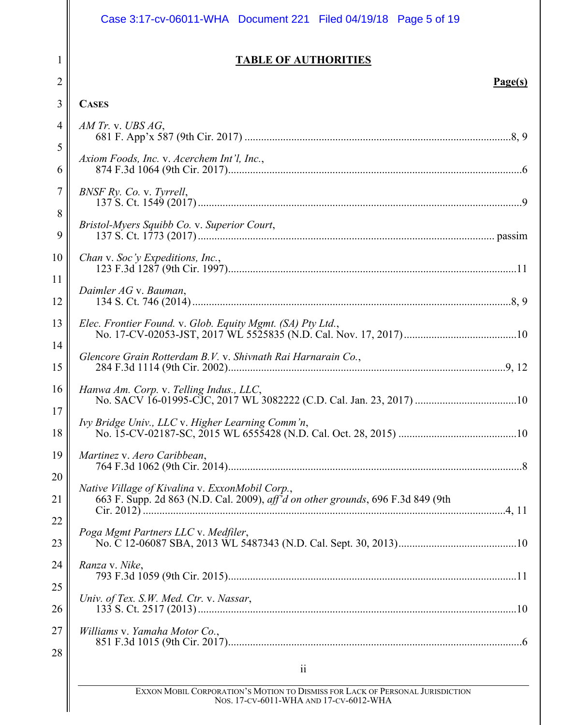|          | Case 3:17-cv-06011-WHA Document 221 Filed 04/19/18 Page 5 of 19                                                                                 |  |  |  |  |
|----------|-------------------------------------------------------------------------------------------------------------------------------------------------|--|--|--|--|
| 1        | <b>TABLE OF AUTHORITIES</b>                                                                                                                     |  |  |  |  |
| 2        | Page(s)                                                                                                                                         |  |  |  |  |
| 3        | <b>CASES</b>                                                                                                                                    |  |  |  |  |
| 4        | $AM$ Tr. v. UBS $AG$ ,                                                                                                                          |  |  |  |  |
| 5        | Axiom Foods, Inc. v. Acerchem Int'l, Inc.,                                                                                                      |  |  |  |  |
| 6        |                                                                                                                                                 |  |  |  |  |
| 7        | BNSF Ry. Co. v. Tyrrell,                                                                                                                        |  |  |  |  |
| 8        | Bristol-Myers Squibb Co. v. Superior Court,                                                                                                     |  |  |  |  |
| 9        |                                                                                                                                                 |  |  |  |  |
| 10       | Chan v. Soc'y Expeditions, Inc.,                                                                                                                |  |  |  |  |
| 11       | Daimler AG v. Bauman,                                                                                                                           |  |  |  |  |
| 12       |                                                                                                                                                 |  |  |  |  |
| 13       | Elec. Frontier Found. v. Glob. Equity Mgmt. (SA) Pty Ltd.,                                                                                      |  |  |  |  |
| 14       | Glencore Grain Rotterdam B.V. v. Shivnath Rai Harnarain Co.,                                                                                    |  |  |  |  |
| 15       |                                                                                                                                                 |  |  |  |  |
| 16       | Hanwa Am. Corp. v. Telling Indus., LLC,                                                                                                         |  |  |  |  |
| 17       |                                                                                                                                                 |  |  |  |  |
| 18       |                                                                                                                                                 |  |  |  |  |
| 19       | Martinez v. Aero Caribbean,                                                                                                                     |  |  |  |  |
| 20<br>21 | Native Village of Kivalina v. ExxonMobil Corp.,<br>663 F. Supp. 2d 863 (N.D. Cal. 2009), aff <sup>7</sup> d on other grounds, 696 F.3d 849 (9th |  |  |  |  |
| 22       |                                                                                                                                                 |  |  |  |  |
| 23       | Poga Mgmt Partners LLC v. Medfiler,                                                                                                             |  |  |  |  |
| 24       | Ranza v. Nike,                                                                                                                                  |  |  |  |  |
| 25       |                                                                                                                                                 |  |  |  |  |
| 26       | Univ. of Tex. S.W. Med. Ctr. v. Nassar,                                                                                                         |  |  |  |  |
| 27       | Williams v. Yamaha Motor Co.,                                                                                                                   |  |  |  |  |
| 28       |                                                                                                                                                 |  |  |  |  |
|          | $\overline{11}$                                                                                                                                 |  |  |  |  |

EXXON MOBIL CORPORATION'S MOTION TO DISMISS FOR LACK OF PERSONAL JURISDICTION NOS. 17-CV-6011-WHA AND 17-CV-6012-WHA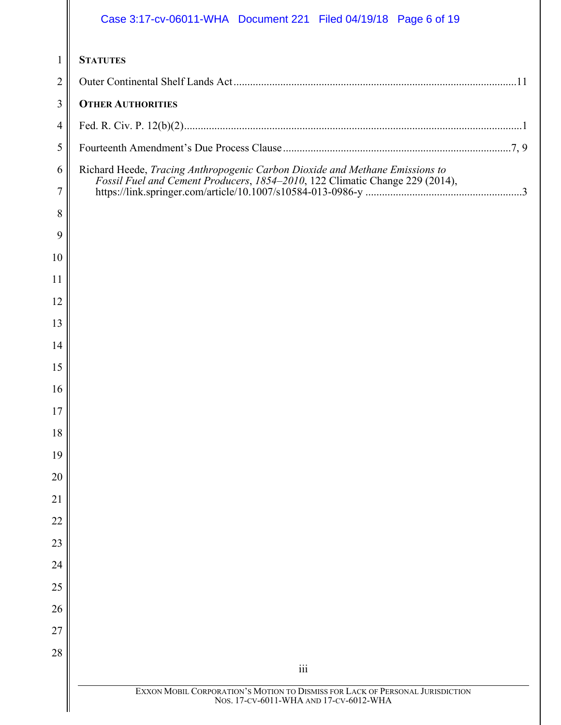|                     | Case 3:17-cv-06011-WHA  Document 221  Filed 04/19/18  Page 6 of 19            |  |  |
|---------------------|-------------------------------------------------------------------------------|--|--|
| 1                   | <b>STATUTES</b>                                                               |  |  |
| 2                   |                                                                               |  |  |
| 3                   | <b>OTHER AUTHORITIES</b>                                                      |  |  |
| 4                   |                                                                               |  |  |
| 5                   |                                                                               |  |  |
| 6<br>$\overline{7}$ | Richard Heede, Tracing Anthropogenic Carbon Dioxide and Methane Emissions to  |  |  |
| 8                   |                                                                               |  |  |
| 9                   |                                                                               |  |  |
| 10                  |                                                                               |  |  |
| 11                  |                                                                               |  |  |
| 12                  |                                                                               |  |  |
| 13                  |                                                                               |  |  |
| 14                  |                                                                               |  |  |
| 15                  |                                                                               |  |  |
| 16                  |                                                                               |  |  |
| 17                  |                                                                               |  |  |
| 18                  |                                                                               |  |  |
| 19                  |                                                                               |  |  |
| 20                  |                                                                               |  |  |
| 21                  |                                                                               |  |  |
| 22                  |                                                                               |  |  |
| 23                  |                                                                               |  |  |
| 24                  |                                                                               |  |  |
| 25                  |                                                                               |  |  |
| 26                  |                                                                               |  |  |
| 27                  |                                                                               |  |  |
| 28                  | iii                                                                           |  |  |
|                     | EXXON MOBIL CORPORATION'S MOTION TO DISMISS FOR LACK OF PERSONAL JURISDICTION |  |  |
|                     | Nos. 17-CV-6011-WHA AND 17-CV-6012-WHA                                        |  |  |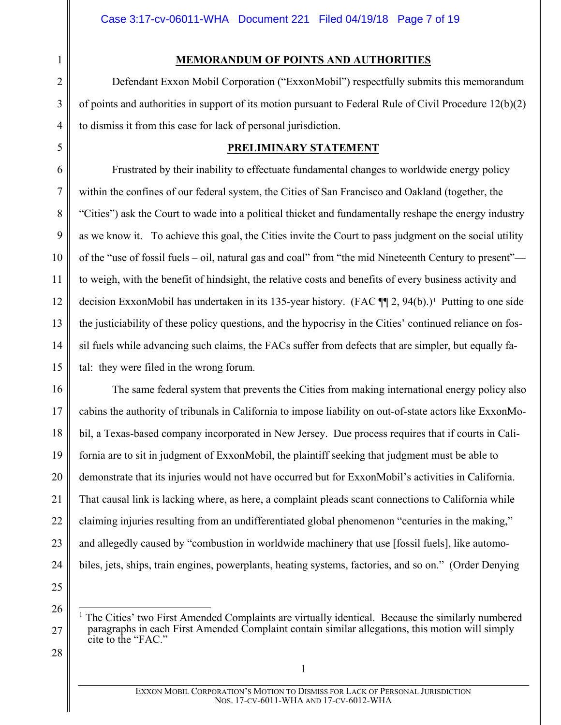### **MEMORANDUM OF POINTS AND AUTHORITIES**

Defendant Exxon Mobil Corporation ("ExxonMobil") respectfully submits this memorandum of points and authorities in support of its motion pursuant to Federal Rule of Civil Procedure 12(b)(2) to dismiss it from this case for lack of personal jurisdiction.

### <span id="page-6-1"></span>**PRELIMINARY STATEMENT**

Frustrated by their inability to effectuate fundamental changes to worldwide energy policy within the confines of our federal system, the Cities of San Francisco and Oakland (together, the "Cities") ask the Court to wade into a political thicket and fundamentally reshape the energy industry as we know it. To achieve this goal, the Cities invite the Court to pass judgment on the social utility of the "use of fossil fuels – oil, natural gas and coal" from "the mid Nineteenth Century to present" to weigh, with the benefit of hindsight, the relative costs and benefits of every business activity and decision ExxonMobil has undertaken in its [1](#page-6-2)35-year history. (FAC  $\P$  $[2, 94(b).]$ <sup>1</sup> Putting to one side the justiciability of these policy questions, and the hypocrisy in the Cities' continued reliance on fossil fuels while advancing such claims, the FACs suffer from defects that are simpler, but equally fatal: they were filed in the wrong forum.

16 17 18 The same federal system that prevents the Cities from making international energy policy also cabins the authority of tribunals in California to impose liability on out-of-state actors like ExxonMobil, a Texas-based company incorporated in New Jersey. Due process requires that if courts in California are to sit in judgment of ExxonMobil, the plaintiff seeking that judgment must be able to demonstrate that its injuries would not have occurred but for ExxonMobil's activities in California. That causal link is lacking where, as here, a complaint pleads scant connections to California while claiming injuries resulting from an undifferentiated global phenomenon "centuries in the making," and allegedly caused by "combustion in worldwide machinery that use [fossil fuels], like automobiles, jets, ships, train engines, powerplants, heating systems, factories, and so on." (Order Denying

<span id="page-6-2"></span>25

28

1

1

2

3

4

<span id="page-6-0"></span>5

6

7

8

9

10

11

12

13

14

 <sup>1</sup> The Cities' two First Amended Complaints are virtually identical. Because the similarly numbered paragraphs in each First Amended Complaint contain similar allegations, this motion will simply cite to the "FAC."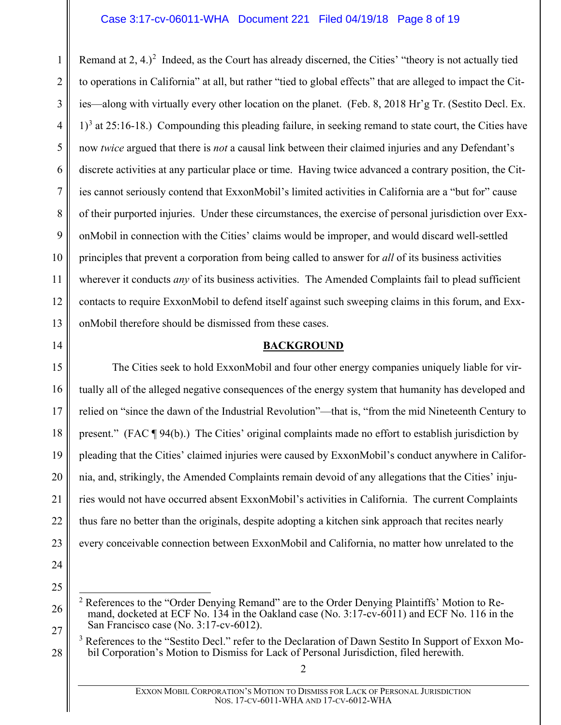1 2 3 4 5 6 7 8 9 10 11 12 13 Remand at  $2, 4.$  $2, 4.$ )<sup>2</sup> Indeed, as the Court has already discerned, the Cities' "theory is not actually tied to operations in California" at all, but rather "tied to global effects" that are alleged to impact the Cities—along with virtually every other location on the planet. (Feb. 8, 2018 Hr'g Tr. (Sestito Decl. Ex.  $1<sup>3</sup>$  $1<sup>3</sup>$  $1<sup>3</sup>$  at 25:16-18.) Compounding this pleading failure, in seeking remand to state court, the Cities have now *twice* argued that there is *not* a causal link between their claimed injuries and any Defendant's discrete activities at any particular place or time. Having twice advanced a contrary position, the Cities cannot seriously contend that ExxonMobil's limited activities in California are a "but for" cause of their purported injuries. Under these circumstances, the exercise of personal jurisdiction over ExxonMobil in connection with the Cities' claims would be improper, and would discard well-settled principles that prevent a corporation from being called to answer for *all* of its business activities wherever it conducts *any* of its business activities. The Amended Complaints fail to plead sufficient contacts to require ExxonMobil to defend itself against such sweeping claims in this forum, and ExxonMobil therefore should be dismissed from these cases.

#### **BACKGROUND**

15 16 17 18 19 20 21 22 23 The Cities seek to hold ExxonMobil and four other energy companies uniquely liable for virtually all of the alleged negative consequences of the energy system that humanity has developed and relied on "since the dawn of the Industrial Revolution"—that is, "from the mid Nineteenth Century to present." (FAC ¶ 94(b).) The Cities' original complaints made no effort to establish jurisdiction by pleading that the Cities' claimed injuries were caused by ExxonMobil's conduct anywhere in California, and, strikingly, the Amended Complaints remain devoid of any allegations that the Cities' injuries would not have occurred absent ExxonMobil's activities in California. The current Complaints thus fare no better than the originals, despite adopting a kitchen sink approach that recites nearly every conceivable connection between ExxonMobil and California, no matter how unrelated to the

24

<span id="page-7-0"></span>14

<span id="page-7-2"></span>27

<span id="page-7-1"></span><sup>25</sup> 26

 $2$  References to the "Order Denying Remand" are to the Order Denying Plaintiffs' Motion to Remand, docketed at ECF No. 134 in the Oakland case (No. 3:17-cv-6011) and ECF No. 116 in the San Francisco case (No. 3:17-cv-6012).

<sup>&</sup>lt;sup>3</sup> References to the "Sestito Decl." refer to the Declaration of Dawn Sestito In Support of Exxon Mobil Corporation's Motion to Dismiss for Lack of Personal Jurisdiction, filed herewith.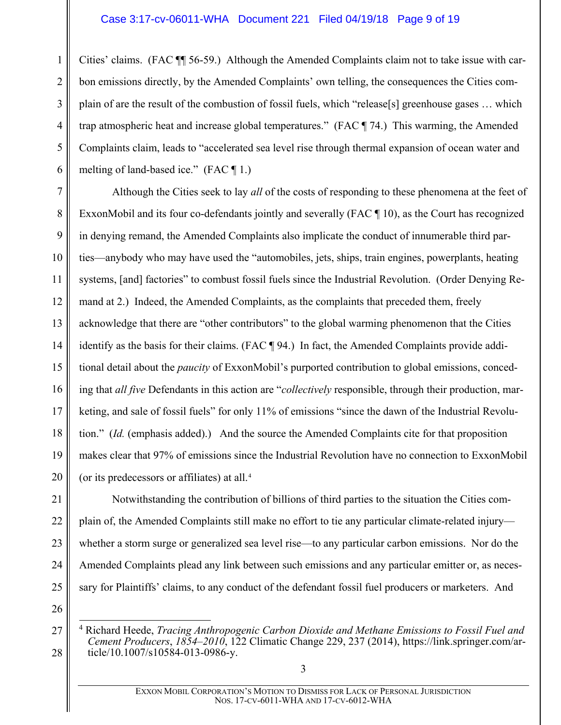#### Case 3:17-cv-06011-WHA Document 221 Filed 04/19/18 Page 9 of 19

1 2 3 4 5 6 Cities' claims. (FAC ¶¶ 56-59.) Although the Amended Complaints claim not to take issue with carbon emissions directly, by the Amended Complaints' own telling, the consequences the Cities complain of are the result of the combustion of fossil fuels, which "release[s] greenhouse gases … which trap atmospheric heat and increase global temperatures." (FAC ¶ 74.) This warming, the Amended Complaints claim, leads to "accelerated sea level rise through thermal expansion of ocean water and melting of land-based ice." (FAC ¶ 1.)

7 8 9 10 11 12 13 14 15 16 17 18 19 20 Although the Cities seek to lay *all* of the costs of responding to these phenomena at the feet of ExxonMobil and its four co-defendants jointly and severally (FAC ¶ 10), as the Court has recognized in denying remand, the Amended Complaints also implicate the conduct of innumerable third parties—anybody who may have used the "automobiles, jets, ships, train engines, powerplants, heating systems, [and] factories" to combust fossil fuels since the Industrial Revolution. (Order Denying Remand at 2.) Indeed, the Amended Complaints, as the complaints that preceded them, freely acknowledge that there are "other contributors" to the global warming phenomenon that the Cities identify as the basis for their claims. (FAC ¶ 94.) In fact, the Amended Complaints provide additional detail about the *paucity* of ExxonMobil's purported contribution to global emissions, conceding that *all five* Defendants in this action are "*collectively* responsible, through their production, marketing, and sale of fossil fuels" for only 11% of emissions "since the dawn of the Industrial Revolution." (*Id.* (emphasis added).) And the source the Amended Complaints cite for that proposition makes clear that 97% of emissions since the Industrial Revolution have no connection to ExxonMobil (or its predecessors or affiliates) at all.[4](#page-8-1)

21 22 23 24 25 Notwithstanding the contribution of billions of third parties to the situation the Cities complain of, the Amended Complaints still make no effort to tie any particular climate-related injury whether a storm surge or generalized sea level rise—to any particular carbon emissions. Nor do the Amended Complaints plead any link between such emissions and any particular emitter or, as necessary for Plaintiffs' claims, to any conduct of the defendant fossil fuel producers or marketers. And

<span id="page-8-1"></span>26 27

<span id="page-8-0"></span> <sup>4</sup> Richard Heede, *Tracing Anthropogenic Carbon Dioxide and Methane Emissions to Fossil Fuel and Cement Producers*, *1854–2010*, 122 Climatic Change 229, 237 (2014), https://link.springer.com/article/10.1007/s10584-013-0986-y.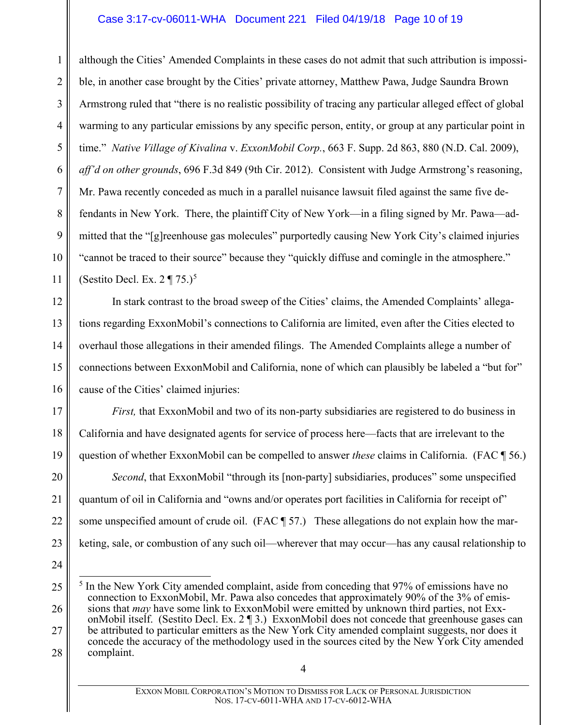### Case 3:17-cv-06011-WHA Document 221 Filed 04/19/18 Page 10 of 19

<span id="page-9-0"></span>1 2 3 4 5 6 7 8 9 10 11 although the Cities' Amended Complaints in these cases do not admit that such attribution is impossible, in another case brought by the Cities' private attorney, Matthew Pawa, Judge Saundra Brown Armstrong ruled that "there is no realistic possibility of tracing any particular alleged effect of global warming to any particular emissions by any specific person, entity, or group at any particular point in time." *Native Village of Kivalina* v. *ExxonMobil Corp.*, 663 F. Supp. 2d 863, 880 (N.D. Cal. 2009), *aff'd on other grounds*, 696 F.3d 849 (9th Cir. 2012). Consistent with Judge Armstrong's reasoning, Mr. Pawa recently conceded as much in a parallel nuisance lawsuit filed against the same five defendants in New York. There, the plaintiff City of New York—in a filing signed by Mr. Pawa—admitted that the "[g]reenhouse gas molecules" purportedly causing New York City's claimed injuries "cannot be traced to their source" because they "quickly diffuse and comingle in the atmosphere." (Sestito Decl. Ex.  $2 \P 75.$  $2 \P 75.$  $2 \P 75.$ )<sup>5</sup>

In stark contrast to the broad sweep of the Cities' claims, the Amended Complaints' allegations regarding ExxonMobil's connections to California are limited, even after the Cities elected to overhaul those allegations in their amended filings. The Amended Complaints allege a number of connections between ExxonMobil and California, none of which can plausibly be labeled a "but for" cause of the Cities' claimed injuries:

*First,* that ExxonMobil and two of its non-party subsidiaries are registered to do business in California and have designated agents for service of process here—facts that are irrelevant to the question of whether ExxonMobil can be compelled to answer *these* claims in California. (FAC ¶ 56.)

20 21 22 23 *Second*, that ExxonMobil "through its [non-party] subsidiaries, produces" some unspecified quantum of oil in California and "owns and/or operates port facilities in California for receipt of" some unspecified amount of crude oil. (FAC ¶ 57.) These allegations do not explain how the marketing, sale, or combustion of any such oil—wherever that may occur—has any causal relationship to

24

12

13

14

15

16

17

18

<span id="page-9-1"></span><sup>25</sup> 26 27 28 <sup>5</sup> In the New York City amended complaint, aside from conceding that 97% of emissions have no connection to ExxonMobil, Mr. Pawa also concedes that approximately 90% of the 3% of emissions that *may* have some link to ExxonMobil were emitted by unknown third parties, not ExxonMobil itself. (Sestito Decl. Ex. 2 ¶ 3.) ExxonMobil does not concede that greenhouse gases can be attributed to particular emitters as the New York City amended complaint suggests, nor does it concede the accuracy of the methodology used in the sources cited by the New York City amended complaint.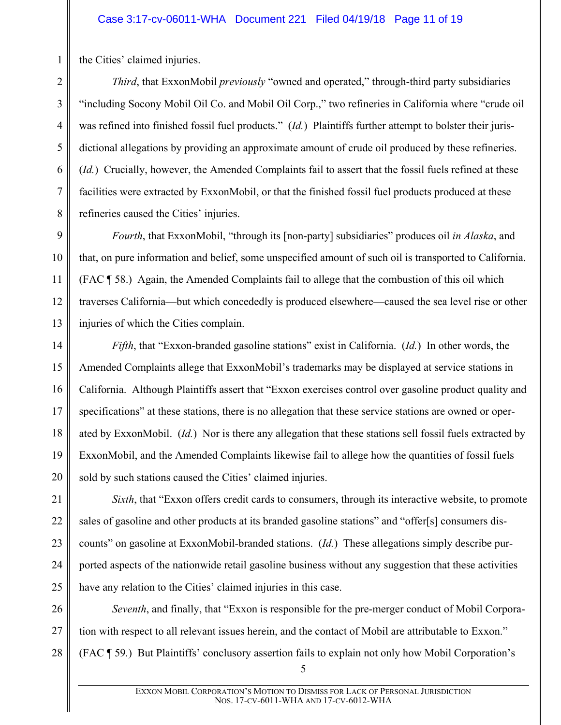the Cities' claimed injuries.

*Third*, that ExxonMobil *previously* "owned and operated," through-third party subsidiaries "including Socony Mobil Oil Co. and Mobil Oil Corp.," two refineries in California where "crude oil was refined into finished fossil fuel products." (*Id.*) Plaintiffs further attempt to bolster their jurisdictional allegations by providing an approximate amount of crude oil produced by these refineries. (*Id.*) Crucially, however, the Amended Complaints fail to assert that the fossil fuels refined at these facilities were extracted by ExxonMobil, or that the finished fossil fuel products produced at these refineries caused the Cities' injuries.

*Fourth*, that ExxonMobil, "through its [non-party] subsidiaries" produces oil *in Alaska*, and that, on pure information and belief, some unspecified amount of such oil is transported to California. (FAC ¶ 58.) Again, the Amended Complaints fail to allege that the combustion of this oil which traverses California—but which concededly is produced elsewhere—caused the sea level rise or other injuries of which the Cities complain.

19 20 *Fifth*, that "Exxon-branded gasoline stations" exist in California. (*Id.*) In other words, the Amended Complaints allege that ExxonMobil's trademarks may be displayed at service stations in California. Although Plaintiffs assert that "Exxon exercises control over gasoline product quality and specifications" at these stations, there is no allegation that these service stations are owned or operated by ExxonMobil. (*Id.*) Nor is there any allegation that these stations sell fossil fuels extracted by ExxonMobil, and the Amended Complaints likewise fail to allege how the quantities of fossil fuels sold by such stations caused the Cities' claimed injuries.

*Sixth*, that "Exxon offers credit cards to consumers, through its interactive website, to promote sales of gasoline and other products at its branded gasoline stations" and "offer[s] consumers discounts" on gasoline at ExxonMobil-branded stations. (*Id.*) These allegations simply describe purported aspects of the nationwide retail gasoline business without any suggestion that these activities have any relation to the Cities' claimed injuries in this case.

26 27 28 *Seventh*, and finally, that "Exxon is responsible for the pre-merger conduct of Mobil Corporation with respect to all relevant issues herein, and the contact of Mobil are attributable to Exxon." (FAC ¶ 59*.*) But Plaintiffs' conclusory assertion fails to explain not only how Mobil Corporation's

21

22

23

24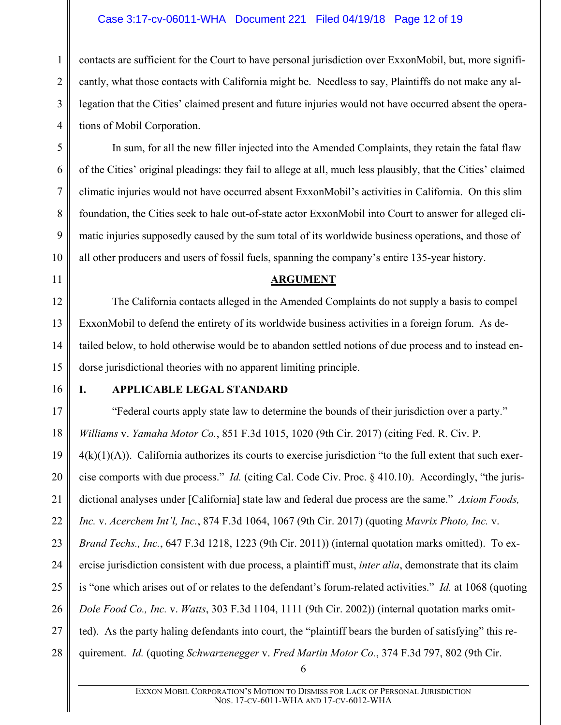#### Case 3:17-cv-06011-WHA Document 221 Filed 04/19/18 Page 12 of 19

1 2 3 4 contacts are sufficient for the Court to have personal jurisdiction over ExxonMobil, but, more significantly, what those contacts with California might be. Needless to say, Plaintiffs do not make any allegation that the Cities' claimed present and future injuries would not have occurred absent the operations of Mobil Corporation.

In sum, for all the new filler injected into the Amended Complaints, they retain the fatal flaw of the Cities' original pleadings: they fail to allege at all, much less plausibly, that the Cities' claimed climatic injuries would not have occurred absent ExxonMobil's activities in California. On this slim foundation, the Cities seek to hale out-of-state actor ExxonMobil into Court to answer for alleged climatic injuries supposedly caused by the sum total of its worldwide business operations, and those of all other producers and users of fossil fuels, spanning the company's entire 135-year history.

#### <span id="page-11-2"></span>**ARGUMENT**

12 13 14 15 The California contacts alleged in the Amended Complaints do not supply a basis to compel ExxonMobil to defend the entirety of its worldwide business activities in a foreign forum. As detailed below, to hold otherwise would be to abandon settled notions of due process and to instead endorse jurisdictional theories with no apparent limiting principle.

16

5

6

7

8

9

10

<span id="page-11-0"></span>11

#### <span id="page-11-3"></span><span id="page-11-1"></span>**I. APPLICABLE LEGAL STANDARD**

17 18 19 20 "Federal courts apply state law to determine the bounds of their jurisdiction over a party." *Williams* v. *Yamaha Motor Co.*, 851 F.3d 1015, 1020 (9th Cir. 2017) (citing Fed. R. Civ. P.  $4(k)(1)(A)$ ). California authorizes its courts to exercise jurisdiction "to the full extent that such exercise comports with due process." *Id.* (citing Cal. Code Civ. Proc. § 410.10). Accordingly, "the juris-

21 dictional analyses under [California] state law and federal due process are the same." *Axiom Foods,* 

22 *Inc.* v. *Acerchem Int'l, Inc.*, 874 F.3d 1064, 1067 (9th Cir. 2017) (quoting *Mavrix Photo, Inc.* v.

23 24 25 26 27 *Brand Techs., Inc.*, 647 F.3d 1218, 1223 (9th Cir. 2011)) (internal quotation marks omitted). To exercise jurisdiction consistent with due process, a plaintiff must, *inter alia*, demonstrate that its claim is "one which arises out of or relates to the defendant's forum-related activities." *Id.* at 1068 (quoting *Dole Food Co., Inc.* v. *Watts*, 303 F.3d 1104, 1111 (9th Cir. 2002)) (internal quotation marks omitted). As the party haling defendants into court, the "plaintiff bears the burden of satisfying" this re-

28 quirement. *Id.* (quoting *Schwarzenegger* v. *Fred Martin Motor Co.*, 374 F.3d 797, 802 (9th Cir.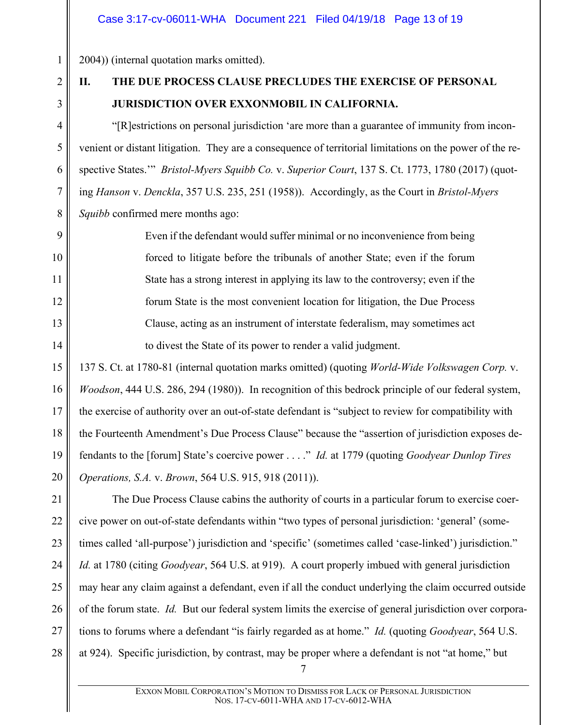2004)) (internal quotation marks omitted).

# 2 3

4

5

6

7

8

9

10

11

12

13

14

1

# <span id="page-12-0"></span>**II. THE DUE PROCESS CLAUSE PRECLUDES THE EXERCISE OF PERSONAL JURISDICTION OVER EXXONMOBIL IN CALIFORNIA.**

"[R]estrictions on personal jurisdiction 'are more than a guarantee of immunity from inconvenient or distant litigation. They are a consequence of territorial limitations on the power of the respective States.'" *Bristol-Myers Squibb Co.* v. *Superior Court*, 137 S. Ct. 1773, 1780 (2017) (quoting *Hanson* v. *Denckla*, 357 U.S. 235, 251 (1958)). Accordingly, as the Court in *Bristol-Myers Squibb* confirmed mere months ago:

<span id="page-12-1"></span>Even if the defendant would suffer minimal or no inconvenience from being forced to litigate before the tribunals of another State; even if the forum State has a strong interest in applying its law to the controversy; even if the forum State is the most convenient location for litigation, the Due Process Clause, acting as an instrument of interstate federalism, may sometimes act to divest the State of its power to render a valid judgment.

<span id="page-12-2"></span>15 16 17 18 19 20 137 S. Ct. at 1780-81 (internal quotation marks omitted) (quoting *World-Wide Volkswagen Corp.* v. *Woodson*, 444 U.S. 286, 294 (1980)). In recognition of this bedrock principle of our federal system, the exercise of authority over an out-of-state defendant is "subject to review for compatibility with the Fourteenth Amendment's Due Process Clause" because the "assertion of jurisdiction exposes defendants to the [forum] State's coercive power . . . ." *Id.* at 1779 (quoting *Goodyear Dunlop Tires Operations, S.A.* v. *Brown*, 564 U.S. 915, 918 (2011)).

21 22 23 24 25 26 27 28 The Due Process Clause cabins the authority of courts in a particular forum to exercise coercive power on out-of-state defendants within "two types of personal jurisdiction: 'general' (sometimes called 'all-purpose') jurisdiction and 'specific' (sometimes called 'case-linked') jurisdiction." *Id.* at 1780 (citing *Goodyear*, 564 U.S. at 919). A court properly imbued with general jurisdiction may hear any claim against a defendant, even if all the conduct underlying the claim occurred outside of the forum state. *Id.* But our federal system limits the exercise of general jurisdiction over corporations to forums where a defendant "is fairly regarded as at home." *Id.* (quoting *Goodyear*, 564 U.S. at 924). Specific jurisdiction, by contrast, may be proper where a defendant is not "at home," but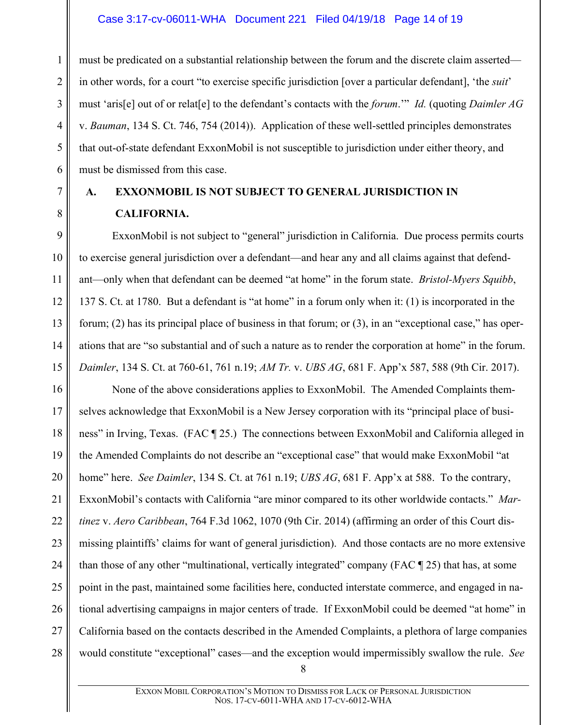1

2

3

4

5

6

7

8

9

10

11

12

13

14

<span id="page-13-2"></span><span id="page-13-1"></span>15

must be predicated on a substantial relationship between the forum and the discrete claim asserted in other words, for a court "to exercise specific jurisdiction [over a particular defendant], 'the *suit*' must 'aris[e] out of or relat[e] to the defendant's contacts with the *forum*.'" *Id.* (quoting *Daimler AG* v. *Bauman*, 134 S. Ct. 746, 754 (2014)). Application of these well-settled principles demonstrates that out-of-state defendant ExxonMobil is not susceptible to jurisdiction under either theory, and must be dismissed from this case.

# <span id="page-13-0"></span>**A. EXXONMOBIL IS NOT SUBJECT TO GENERAL JURISDICTION IN CALIFORNIA.**

ExxonMobil is not subject to "general" jurisdiction in California. Due process permits courts to exercise general jurisdiction over a defendant—and hear any and all claims against that defendant—only when that defendant can be deemed "at home" in the forum state. *Bristol-Myers Squibb*, 137 S. Ct. at 1780. But a defendant is "at home" in a forum only when it: (1) is incorporated in the forum; (2) has its principal place of business in that forum; or (3), in an "exceptional case," has operations that are "so substantial and of such a nature as to render the corporation at home" in the forum. *Daimler*, 134 S. Ct. at 760-61, 761 n.19; *AM Tr.* v. *UBS AG*, 681 F. App'x 587, 588 (9th Cir. 2017).

<span id="page-13-3"></span>16 17 18 19 20 21 22 23 24 25 26 27 28 None of the above considerations applies to ExxonMobil. The Amended Complaints themselves acknowledge that ExxonMobil is a New Jersey corporation with its "principal place of business" in Irving, Texas. (FAC ¶ 25.) The connections between ExxonMobil and California alleged in the Amended Complaints do not describe an "exceptional case" that would make ExxonMobil "at home" here. *See Daimler*, 134 S. Ct. at 761 n.19; *UBS AG*, 681 F. App'x at 588. To the contrary, ExxonMobil's contacts with California "are minor compared to its other worldwide contacts." *Martinez* v. *Aero Caribbean*, 764 F.3d 1062, 1070 (9th Cir. 2014) (affirming an order of this Court dismissing plaintiffs' claims for want of general jurisdiction). And those contacts are no more extensive than those of any other "multinational, vertically integrated" company (FAC ¶ 25) that has, at some point in the past, maintained some facilities here, conducted interstate commerce, and engaged in national advertising campaigns in major centers of trade. If ExxonMobil could be deemed "at home" in California based on the contacts described in the Amended Complaints, a plethora of large companies would constitute "exceptional" cases—and the exception would impermissibly swallow the rule. *See*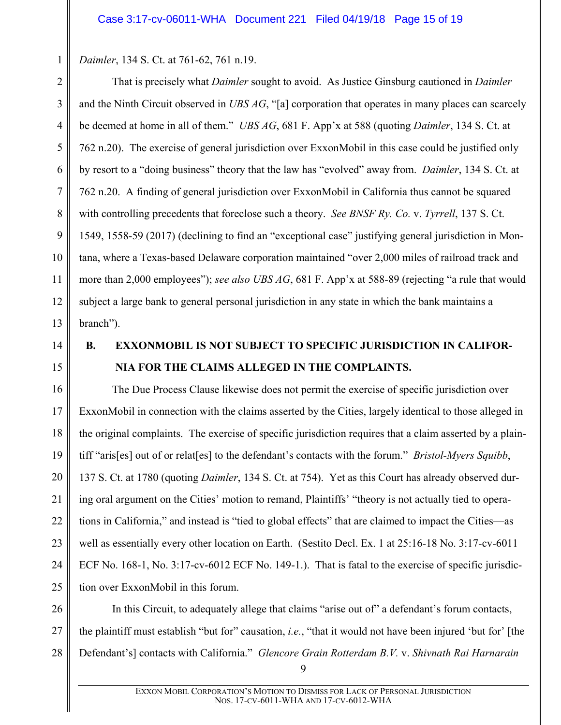<span id="page-14-3"></span><span id="page-14-1"></span>*Daimler*, 134 S. Ct. at 761-62, 761 n.19.

2 3 4 5 6 7 8 9 10 11 12 13 That is precisely what *Daimler* sought to avoid. As Justice Ginsburg cautioned in *Daimler* and the Ninth Circuit observed in *UBS AG*, "[a] corporation that operates in many places can scarcely be deemed at home in all of them." *UBS AG*, 681 F. App'x at 588 (quoting *Daimler*, 134 S. Ct. at 762 n.20). The exercise of general jurisdiction over ExxonMobil in this case could be justified only by resort to a "doing business" theory that the law has "evolved" away from. *Daimler*, 134 S. Ct. at 762 n.20. A finding of general jurisdiction over ExxonMobil in California thus cannot be squared with controlling precedents that foreclose such a theory. *See BNSF Ry. Co.* v. *Tyrrell*, 137 S. Ct. 1549, 1558-59 (2017) (declining to find an "exceptional case" justifying general jurisdiction in Montana, where a Texas-based Delaware corporation maintained "over 2,000 miles of railroad track and more than 2,000 employees"); *see also UBS AG*, 681 F. App'x at 588-89 (rejecting "a rule that would subject a large bank to general personal jurisdiction in any state in which the bank maintains a branch").

14 15

1

# <span id="page-14-5"></span><span id="page-14-2"></span><span id="page-14-0"></span>**B. EXXONMOBIL IS NOT SUBJECT TO SPECIFIC JURISDICTION IN CALIFOR-NIA FOR THE CLAIMS ALLEGED IN THE COMPLAINTS.**

16 17 18 19 20 21 22 23 24 25 The Due Process Clause likewise does not permit the exercise of specific jurisdiction over ExxonMobil in connection with the claims asserted by the Cities, largely identical to those alleged in the original complaints. The exercise of specific jurisdiction requires that a claim asserted by a plaintiff "aris[es] out of or relat[es] to the defendant's contacts with the forum." *Bristol-Myers Squibb*, 137 S. Ct. at 1780 (quoting *Daimler*, 134 S. Ct. at 754). Yet as this Court has already observed during oral argument on the Cities' motion to remand, Plaintiffs' "theory is not actually tied to operations in California," and instead is "tied to global effects" that are claimed to impact the Cities—as well as essentially every other location on Earth. (Sestito Decl. Ex. 1 at 25:16-18 No. 3:17-cv-6011 ECF No. 168-1, No. 3:17-cv-6012 ECF No. 149-1.). That is fatal to the exercise of specific jurisdiction over ExxonMobil in this forum.

<span id="page-14-4"></span>26 27 28 In this Circuit, to adequately allege that claims "arise out of" a defendant's forum contacts, the plaintiff must establish "but for" causation, *i.e.*, "that it would not have been injured 'but for' [the Defendant's] contacts with California." *Glencore Grain Rotterdam B.V.* v. *Shivnath Rai Harnarain*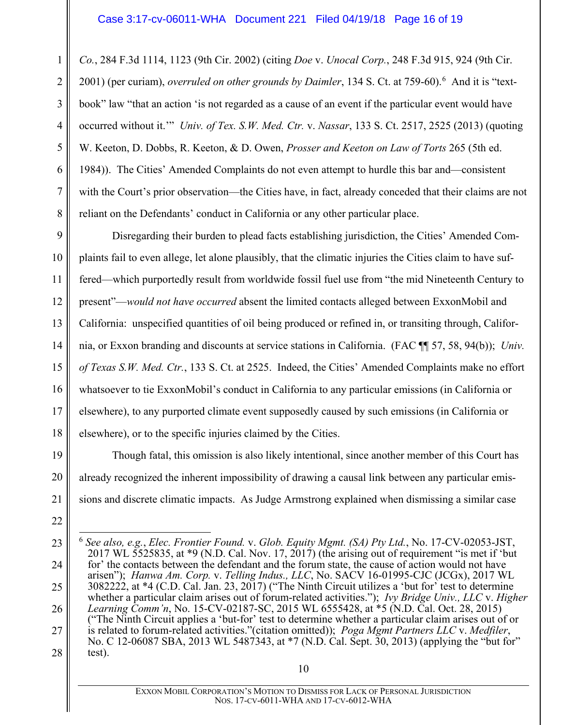1

2

<span id="page-15-4"></span>3

4

5

6

7

8

19

20

21

22

*Co.*, 284 F.3d 1114, 1123 (9th Cir. 2002) (citing *Doe* v. *Unocal Corp.*, 248 F.3d 915, 924 (9th Cir. 2001) (per curiam), *overruled on other grounds by Daimler*, 134 S. Ct. at 759-[6](#page-15-5)0).<sup>6</sup> And it is "textbook" law "that an action 'is not regarded as a cause of an event if the particular event would have occurred without it.'" *Univ. of Tex. S.W. Med. Ctr.* v. *Nassar*, 133 S. Ct. 2517, 2525 (2013) (quoting W. Keeton, D. Dobbs, R. Keeton, & D. Owen, *Prosser and Keeton on Law of Torts* 265 (5th ed. 1984)). The Cities' Amended Complaints do not even attempt to hurdle this bar and—consistent with the Court's prior observation—the Cities have, in fact, already conceded that their claims are not reliant on the Defendants' conduct in California or any other particular place.

9 10 11 12 13 14 15 16 17 18 Disregarding their burden to plead facts establishing jurisdiction, the Cities' Amended Complaints fail to even allege, let alone plausibly, that the climatic injuries the Cities claim to have suffered—which purportedly result from worldwide fossil fuel use from "the mid Nineteenth Century to present"—*would not have occurred* absent the limited contacts alleged between ExxonMobil and California: unspecified quantities of oil being produced or refined in, or transiting through, California, or Exxon branding and discounts at service stations in California. (FAC ¶¶ 57, 58, 94(b)); *Univ. of Texas S.W. Med. Ctr.*, 133 S. Ct. at 2525. Indeed, the Cities' Amended Complaints make no effort whatsoever to tie ExxonMobil's conduct in California to any particular emissions (in California or elsewhere), to any purported climate event supposedly caused by such emissions (in California or elsewhere), or to the specific injuries claimed by the Cities.

Though fatal, this omission is also likely intentional, since another member of this Court has already recognized the inherent impossibility of drawing a causal link between any particular emissions and discrete climatic impacts. As Judge Armstrong explained when dismissing a similar case

<span id="page-15-5"></span><span id="page-15-3"></span><span id="page-15-2"></span><span id="page-15-1"></span><span id="page-15-0"></span><sup>23</sup> 24 25 26 27 28 6 *See also, e.g.*, *Elec. Frontier Found.* v. *Glob. Equity Mgmt. (SA) Pty Ltd.*, No. 17-CV-02053-JST, 2017 WL 5525835, at  $*9$  (N.D. Cal. Nov. 17, 2017) (the arising out of requirement "is met if 'but for' the contacts between the defendant and the forum state, the cause of action would not have arisen"); *Hanwa Am. Corp.* v. *Telling Indus., LLC*, No. SACV 16-01995-CJC (JCGx), 2017 WL  $3082222$ , at \*4 (C.D. Cal. Jan. 23, 2017) ("The Ninth Circuit utilizes a 'but for' test to determine whether a particular claim arises out of forum-related activities."); *Ivy Bridge Univ., LLC* v. *Higher Learning Comm'n*, No. 15-CV-02187-SC, 2015 WL 6555428, at \*5 (N.D. Cal. Oct. 28, 2015) ("The Ninth Circuit applies a 'but-for' test to determine whether a particular claim arises out of or is related to forum-related activities."(citation omitted)); *Poga Mgmt Partners LLC* v. *Medfiler*, No. C 12-06087 SBA, 2013 WL 5487343, at \*7 (N.D. Cal. Sept. 30, 2013) (applying the "but for" test).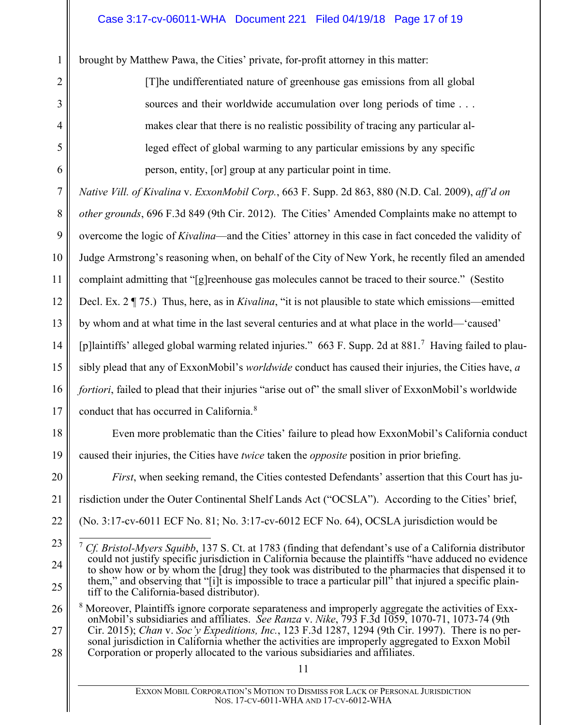brought by Matthew Pawa, the Cities' private, for-profit attorney in this matter:

1

2

3

4

5

<span id="page-16-1"></span>6

20

21

22

<span id="page-16-4"></span>23

24

25

[T]he undifferentiated nature of greenhouse gas emissions from all global sources and their worldwide accumulation over long periods of time . . . makes clear that there is no realistic possibility of tracing any particular alleged effect of global warming to any particular emissions by any specific person, entity, [or] group at any particular point in time.

7 8 9 10 11 12 13 14 15 16 17 *Native Vill. of Kivalina* v. *ExxonMobil Corp.*, 663 F. Supp. 2d 863, 880 (N.D. Cal. 2009), *aff'd on other grounds*, 696 F.3d 849 (9th Cir. 2012). The Cities' Amended Complaints make no attempt to overcome the logic of *Kivalina*—and the Cities' attorney in this case in fact conceded the validity of Judge Armstrong's reasoning when, on behalf of the City of New York, he recently filed an amended complaint admitting that "[g]reenhouse gas molecules cannot be traced to their source." (Sestito Decl. Ex. 2 ¶ 75.) Thus, here, as in *Kivalina*, "it is not plausible to state which emissions—emitted by whom and at what time in the last several centuries and at what place in the world—'caused' [p]laintiffs' alleged global warming related injuries." 663 F. Supp. 2d at 881.[7](#page-16-4) Having failed to plausibly plead that any of ExxonMobil's *worldwide* conduct has caused their injuries, the Cities have, *a fortiori*, failed to plead that their injuries "arise out of" the small sliver of ExxonMobil's worldwide conduct that has occurred in California.<sup>[8](#page-16-5)</sup>

18 19 Even more problematic than the Cities' failure to plead how ExxonMobil's California conduct caused their injuries, the Cities have *twice* taken the *opposite* position in prior briefing.

<span id="page-16-3"></span>*First*, when seeking remand, the Cities contested Defendants' assertion that this Court has jurisdiction under the Outer Continental Shelf Lands Act ("OCSLA"). According to the Cities' brief, (No. 3:17-cv-6011 ECF No. 81; No. 3:17-cv-6012 ECF No. 64), OCSLA jurisdiction would be

<span id="page-16-5"></span><span id="page-16-0"></span>26 27 28 <sup>8</sup> Moreover, Plaintiffs ignore corporate separateness and improperly aggregate the activities of ExxonMobil's subsidiaries and affiliates. *See Ranza* v. *Nike*, 793 F.3d 1059, 1070-71, 1073-74 (9th Cir. 2015); *Chan* v. *Soc'y Expeditions, Inc.*, 123 F.3d 1287, 1294 (9th Cir. 1997). There is no personal jurisdiction in California whether the activities are improperly aggregated to Exxon Mobil Corporation or properly allocated to the various subsidiaries and affiliates.

<span id="page-16-2"></span> <sup>7</sup> *Cf. Bristol-Myers Squibb*, 137 S. Ct. at 1783 (finding that defendant's use of a California distributor could not justify specific jurisdiction in California because the plaintiffs "have adduced no evidence to show how or by whom the [drug] they took was distributed to the pharmacies that dispensed it to them," and observing that "[i]t is impossible to trace a particular pill" that injured a specific plaintiff to the California-based distributor).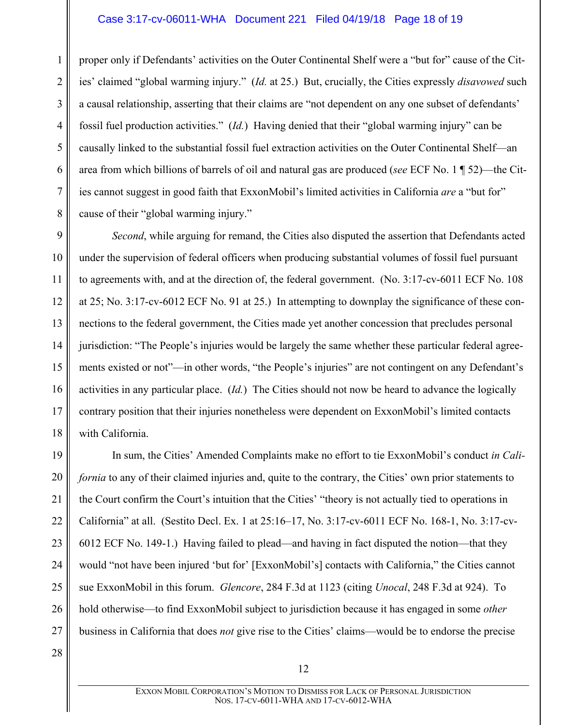proper only if Defendants' activities on the Outer Continental Shelf were a "but for" cause of the Cities' claimed "global warming injury." (*Id.* at 25.) But, crucially, the Cities expressly *disavowed* such a causal relationship, asserting that their claims are "not dependent on any one subset of defendants' fossil fuel production activities." (*Id.*) Having denied that their "global warming injury" can be causally linked to the substantial fossil fuel extraction activities on the Outer Continental Shelf—an area from which billions of barrels of oil and natural gas are produced (*see* ECF No. 1 ¶ 52)—the Cities cannot suggest in good faith that ExxonMobil's limited activities in California *are* a "but for" cause of their "global warming injury."

9 10 11 12 13 14 15 16 17 18 *Second*, while arguing for remand, the Cities also disputed the assertion that Defendants acted under the supervision of federal officers when producing substantial volumes of fossil fuel pursuant to agreements with, and at the direction of, the federal government. (No. 3:17-cv-6011 ECF No. 108 at 25; No. 3:17-cv-6012 ECF No. 91 at 25.) In attempting to downplay the significance of these connections to the federal government, the Cities made yet another concession that precludes personal jurisdiction: "The People's injuries would be largely the same whether these particular federal agreements existed or not"—in other words, "the People's injuries" are not contingent on any Defendant's activities in any particular place. (*Id.*) The Cities should not now be heard to advance the logically contrary position that their injuries nonetheless were dependent on ExxonMobil's limited contacts with California.

19 20 21 22 23 24 25 26 27 In sum, the Cities' Amended Complaints make no effort to tie ExxonMobil's conduct *in California* to any of their claimed injuries and, quite to the contrary, the Cities' own prior statements to the Court confirm the Court's intuition that the Cities' "theory is not actually tied to operations in California" at all. (Sestito Decl. Ex. 1 at 25:16–17, No. 3:17-cv-6011 ECF No. 168-1, No. 3:17-cv-6012 ECF No. 149-1.) Having failed to plead—and having in fact disputed the notion—that they would "not have been injured 'but for' [ExxonMobil's] contacts with California," the Cities cannot sue ExxonMobil in this forum. *Glencore*, 284 F.3d at 1123 (citing *Unocal*, 248 F.3d at 924). To hold otherwise—to find ExxonMobil subject to jurisdiction because it has engaged in some *other*  business in California that does *not* give rise to the Cities' claims—would be to endorse the precise

<span id="page-17-0"></span>28

1

2

3

4

5

6

7